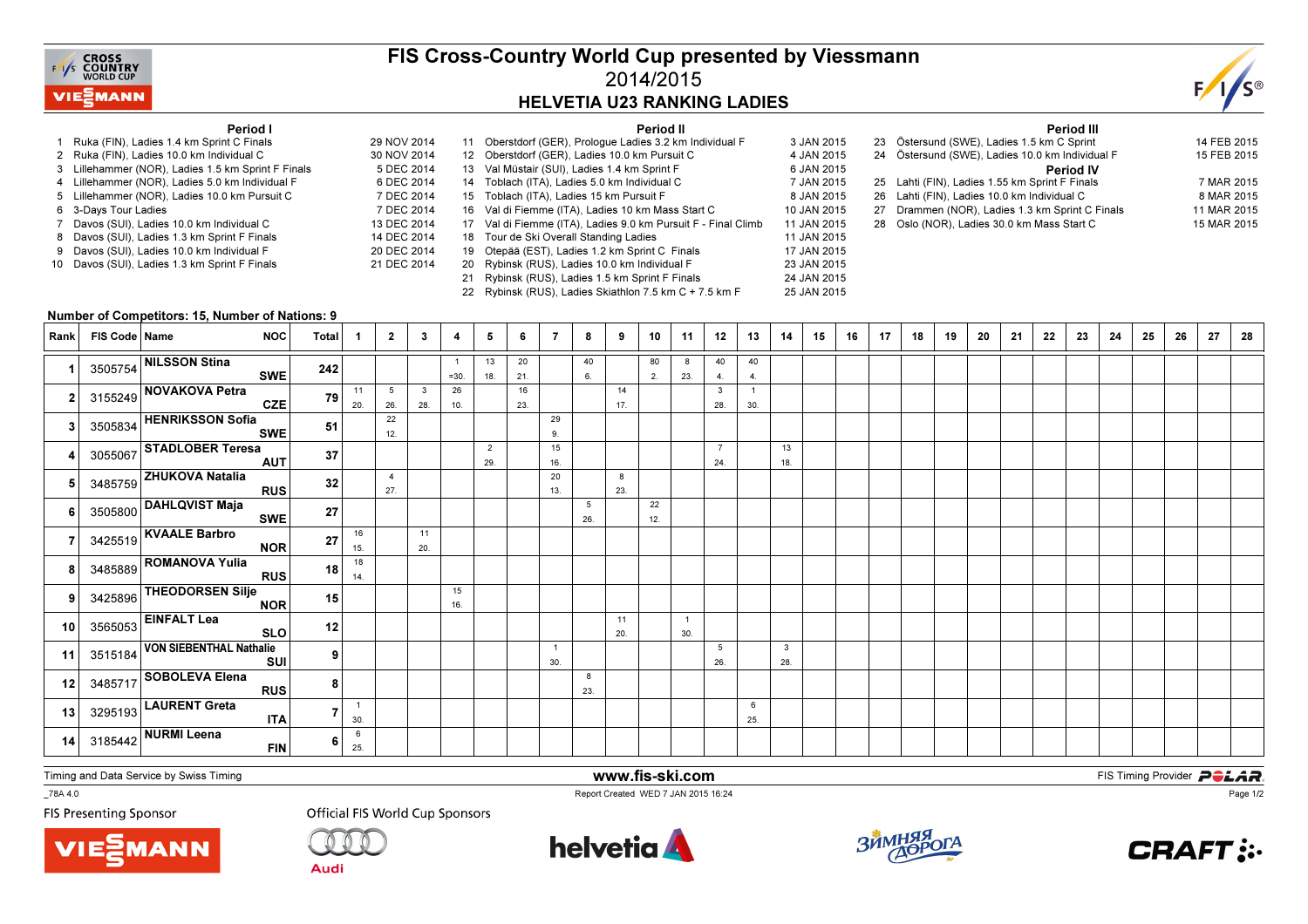

## FIS Cross-Country World Cup presented by Viessmann2014/2015HELVETIA U23 RANKING LADIES

25 JAN 2015



## Period I

- 1 Ruka (FIN), Ladies 1.4 km Sprint C Finals 29 NOV 20142 Ruka (FIN), Ladies 10.0 km Individual C
- 3 Lillehammer (NOR), Ladies 1.5 km Sprint F Finals
- 4 Lillehammer (NOR), Ladies 5.0 km Individual F
- 5 Lillehammer (NOR), Ladies 10.0 km Pursuit C
- 6 3-Days Tour Ladies
- s 7 DEC 2014 7 Davos (SUI), Ladies 10.0 km Individual C
- 8 Davos (SUI), Ladies 1.3 km Sprint F Finals
- 9 Davos (SUI), Ladies 10.0 km Individual F
- 10 Davos (SUI), Ladies 1.3 km Sprint F Finals

|             |    | Period II                                                     |             |
|-------------|----|---------------------------------------------------------------|-------------|
| 29 NOV 2014 |    | 11 Oberstdorf (GER), Prologue Ladies 3.2 km Individual F      | 3 JAN 2015  |
| 30 NOV 2014 |    | 12 Oberstdorf (GER), Ladies 10.0 km Pursuit C                 | 4 JAN 2015  |
| 5 DEC 2014  |    | 13 Val Müstair (SUI), Ladies 1.4 km Sprint F                  | 6 JAN 2015  |
| 6 DEC 2014  |    | 14 Toblach (ITA), Ladies 5.0 km Individual C                  | 7 JAN 2015  |
| 7 DEC 2014  |    | 15 Toblach (ITA), Ladies 15 km Pursuit F                      | 8 JAN 2015  |
| 7 DEC 2014  |    | 16 Val di Fiemme (ITA), Ladies 10 km Mass Start C             | 10 JAN 2015 |
| 13 DEC 2014 |    | 17 Val di Fiemme (ITA), Ladies 9.0 km Pursuit F - Final Climb | 11 JAN 2015 |
| 14 DEC 2014 |    | 18 Tour de Ski Overall Standing Ladies                        | 11 JAN 2015 |
| 20 DEC 2014 | 19 | Otepää (EST), Ladies 1.2 km Sprint C Finals                   | 17 JAN 2015 |
| 21 DEC 2014 | 20 | Rybinsk (RUS), Ladies 10.0 km Individual F                    | 23 JAN 2015 |
|             | 21 | Rybinsk (RUS), Ladies 1.5 km Sprint F Finals                  | 24 JAN 2015 |
|             |    |                                                               |             |

22 Rybinsk (RUS), Ladies Skiathlon 7.5 km C + 7.5 km F

|    | Period III                                      |             |
|----|-------------------------------------------------|-------------|
|    | 23 Östersund (SWE), Ladies 1.5 km C Sprint      | 14 FEB 2015 |
|    | 24 Östersund (SWE), Ladies 10.0 km Individual F | 15 FEB 2015 |
|    | <b>Period IV</b>                                |             |
|    | 25 Lahti (FIN), Ladies 1.55 km Sprint F Finals  | 7 MAR 2015  |
|    | 26 Lahti (FIN), Ladies 10.0 km Individual C     | 8 MAR 2015  |
| 27 | Drammen (NOR), Ladies 1.3 km Sprint C Finals    | 11 MAR 2015 |
| 28 | Oslo (NOR), Ladies 30.0 km Mass Start C         | 15 MAR 2015 |
|    |                                                 |             |

## Number of Competitors: 15, Number of Nations: 9

| Rank | FIS Code   Name | NOC                                           | Total          | -1                  | $\overline{2}$         | 3         | 4         | 5                     | 6         | $\overline{7}$      | 8        | 9         | 10        | 11                    | 12                             | 13                    | 14                             | 15 | 16 | 17 | 18 | 19 | 20 | 21 | 22 | 23 | 24 | 25 | 26 | 27 | 28 |
|------|-----------------|-----------------------------------------------|----------------|---------------------|------------------------|-----------|-----------|-----------------------|-----------|---------------------|----------|-----------|-----------|-----------------------|--------------------------------|-----------------------|--------------------------------|----|----|----|----|----|----|----|----|----|----|----|----|----|----|
|      |                 | 3505754 NILSSON Stina<br><b>SWE</b>           | 242            |                     |                        |           | $=30.$    | 13<br>18.             | 20<br>21. |                     | 40<br>6. |           | 80<br>2.  | 8<br>23.              | 40<br>4.                       | 40<br>4.              |                                |    |    |    |    |    |    |    |    |    |    |    |    |    |    |
|      |                 | 3155249 NOVAKOVA Petra<br><b>CZE</b>          | 79             | 11<br>20.           | $5\overline{5}$<br>26. | 3<br>28.  | 26<br>10. |                       | 16<br>23. |                     |          | 14<br>17. |           |                       | $\overline{\mathbf{3}}$<br>28. | $\overline{1}$<br>30. |                                |    |    |    |    |    |    |    |    |    |    |    |    |    |    |
|      |                 | 3505834 HENRIKSSON Sofia<br>SWE               | 51             |                     | 22<br>12.              |           |           |                       |           | 29<br>9.            |          |           |           |                       |                                |                       |                                |    |    |    |    |    |    |    |    |    |    |    |    |    |    |
|      |                 | 3055067 STADLOBER Teresa<br>AUT               | 37             |                     |                        |           |           | $\overline{2}$<br>29. |           | 15<br>16.           |          |           |           |                       | $\overline{7}$<br>24.          |                       | 13<br>18.                      |    |    |    |    |    |    |    |    |    |    |    |    |    |    |
|      |                 | 3485759 ZHUKOVA Natalia<br>RUS                | 32             |                     | $\overline{4}$<br>27.  |           |           |                       |           | 20<br>13.           |          | 8<br>23.  |           |                       |                                |                       |                                |    |    |    |    |    |    |    |    |    |    |    |    |    |    |
|      |                 | 3505800 DAHLQVIST Maja<br>SWE                 | 27             |                     |                        |           |           |                       |           |                     | 5<br>26. |           | 22<br>12. |                       |                                |                       |                                |    |    |    |    |    |    |    |    |    |    |    |    |    |    |
|      |                 | 3425519 KVAALE Barbro<br>NOR                  | 27             | 16<br>15.           |                        | 11<br>20. |           |                       |           |                     |          |           |           |                       |                                |                       |                                |    |    |    |    |    |    |    |    |    |    |    |    |    |    |
|      |                 | 3485889 ROMANOVA Yulia<br>RUS                 | 18             | 18<br>14.           |                        |           |           |                       |           |                     |          |           |           |                       |                                |                       |                                |    |    |    |    |    |    |    |    |    |    |    |    |    |    |
|      |                 | 3425896 THEODORSEN Silje<br>NOR               | 15             |                     |                        |           | 15<br>16. |                       |           |                     |          |           |           |                       |                                |                       |                                |    |    |    |    |    |    |    |    |    |    |    |    |    |    |
| 10   |                 | $3565053$ EINFALT Lea<br>SLO                  | 12             |                     |                        |           |           |                       |           |                     |          | 11<br>20. |           | $\overline{1}$<br>30. |                                |                       |                                |    |    |    |    |    |    |    |    |    |    |    |    |    |    |
| 11   |                 | 3515184 VON SIEBENTHAL Nathalie<br><b>SUI</b> | 9 <sup>1</sup> |                     |                        |           |           |                       |           | $\mathbf{1}$<br>30. |          |           |           |                       | 5<br>26.                       |                       | $\overline{\mathbf{3}}$<br>28. |    |    |    |    |    |    |    |    |    |    |    |    |    |    |
| 12   |                 | 3485717 SOBOLEVA Elena<br><b>RUS</b>          | 8              |                     |                        |           |           |                       |           |                     | 8<br>23. |           |           |                       |                                |                       |                                |    |    |    |    |    |    |    |    |    |    |    |    |    |    |
| 13   |                 | 3295193 LAURENT Greta<br><b>ITA</b>           |                | $\mathbf{1}$<br>30. |                        |           |           |                       |           |                     |          |           |           |                       |                                | 6<br>25.              |                                |    |    |    |    |    |    |    |    |    |    |    |    |    |    |
| 14   |                 | $3185442$ NURMI Leena<br><b>FIN</b>           | 6              | 6<br>25.            |                        |           |           |                       |           |                     |          |           |           |                       |                                |                       |                                |    |    |    |    |    |    |    |    |    |    |    |    |    |    |

Timing and Data Service by Swiss Timing

\_78A 4.0



 www.fis-ski.comReport Created WED 7 JAN 2015 16:24

**m**<br>FIS Timing Provider<br>FIS 324

**FIS Presenting Sponsor** 





**Audi** 







Page 1/2